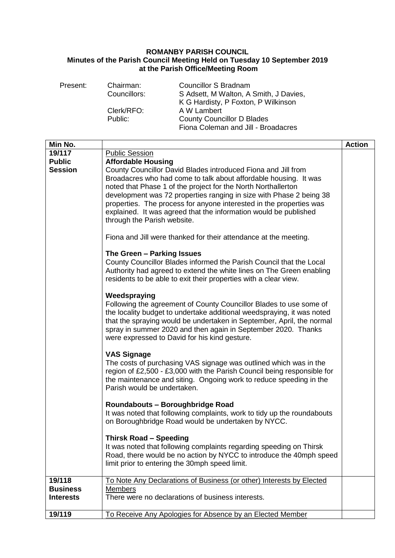## **ROMANBY PARISH COUNCIL Minutes of the Parish Council Meeting Held on Tuesday 10 September 2019 at the Parish Office/Meeting Room**

| Present:                                  | Chairman:<br>Councillors:                                                                                                                                                                                                                                 | <b>Councillor S Bradnam</b><br>S Adsett, M Walton, A Smith, J Davies,<br>K G Hardisty, P Foxton, P Wilkinson                                                                                                                                                                                                                                                                                                                                                                                                                                                                                                                                                                                                                                                                                                                                                                                                                                                                                                                                                                                                                                                                                                                                                                                                                                                                                                  |               |
|-------------------------------------------|-----------------------------------------------------------------------------------------------------------------------------------------------------------------------------------------------------------------------------------------------------------|---------------------------------------------------------------------------------------------------------------------------------------------------------------------------------------------------------------------------------------------------------------------------------------------------------------------------------------------------------------------------------------------------------------------------------------------------------------------------------------------------------------------------------------------------------------------------------------------------------------------------------------------------------------------------------------------------------------------------------------------------------------------------------------------------------------------------------------------------------------------------------------------------------------------------------------------------------------------------------------------------------------------------------------------------------------------------------------------------------------------------------------------------------------------------------------------------------------------------------------------------------------------------------------------------------------------------------------------------------------------------------------------------------------|---------------|
|                                           | Clerk/RFO:<br>Public:                                                                                                                                                                                                                                     | A W Lambert<br><b>County Councillor D Blades</b><br>Fiona Coleman and Jill - Broadacres                                                                                                                                                                                                                                                                                                                                                                                                                                                                                                                                                                                                                                                                                                                                                                                                                                                                                                                                                                                                                                                                                                                                                                                                                                                                                                                       |               |
| Min No.                                   |                                                                                                                                                                                                                                                           |                                                                                                                                                                                                                                                                                                                                                                                                                                                                                                                                                                                                                                                                                                                                                                                                                                                                                                                                                                                                                                                                                                                                                                                                                                                                                                                                                                                                               | <b>Action</b> |
| 19/117<br><b>Public</b><br><b>Session</b> | <b>Public Session</b><br><b>Affordable Housing</b><br>through the Parish website.<br>The Green - Parking Issues<br>Weedspraying<br><b>VAS Signage</b><br>Parish would be undertaken.<br>Roundabouts - Boroughbridge Road<br><b>Thirsk Road - Speeding</b> | County Councillor David Blades introduced Fiona and Jill from<br>Broadacres who had come to talk about affordable housing. It was<br>noted that Phase 1 of the project for the North Northallerton<br>development was 72 properties ranging in size with Phase 2 being 38<br>properties. The process for anyone interested in the properties was<br>explained. It was agreed that the information would be published<br>Fiona and Jill were thanked for their attendance at the meeting.<br>County Councillor Blades informed the Parish Council that the Local<br>Authority had agreed to extend the white lines on The Green enabling<br>residents to be able to exit their properties with a clear view.<br>Following the agreement of County Councillor Blades to use some of<br>the locality budget to undertake additional weedspraying, it was noted<br>that the spraying would be undertaken in September, April, the normal<br>spray in summer 2020 and then again in September 2020. Thanks<br>were expressed to David for his kind gesture.<br>The costs of purchasing VAS signage was outlined which was in the<br>region of £2,500 - £3,000 with the Parish Council being responsible for<br>the maintenance and siting. Ongoing work to reduce speeding in the<br>It was noted that following complaints, work to tidy up the roundabouts<br>on Boroughbridge Road would be undertaken by NYCC. |               |
|                                           |                                                                                                                                                                                                                                                           | It was noted that following complaints regarding speeding on Thirsk<br>Road, there would be no action by NYCC to introduce the 40mph speed<br>limit prior to entering the 30mph speed limit.                                                                                                                                                                                                                                                                                                                                                                                                                                                                                                                                                                                                                                                                                                                                                                                                                                                                                                                                                                                                                                                                                                                                                                                                                  |               |
| 19/118                                    |                                                                                                                                                                                                                                                           | To Note Any Declarations of Business (or other) Interests by Elected                                                                                                                                                                                                                                                                                                                                                                                                                                                                                                                                                                                                                                                                                                                                                                                                                                                                                                                                                                                                                                                                                                                                                                                                                                                                                                                                          |               |
| <b>Business</b><br><b>Interests</b>       | <b>Members</b>                                                                                                                                                                                                                                            | There were no declarations of business interests.                                                                                                                                                                                                                                                                                                                                                                                                                                                                                                                                                                                                                                                                                                                                                                                                                                                                                                                                                                                                                                                                                                                                                                                                                                                                                                                                                             |               |
| 19/119                                    |                                                                                                                                                                                                                                                           | To Receive Any Apologies for Absence by an Elected Member                                                                                                                                                                                                                                                                                                                                                                                                                                                                                                                                                                                                                                                                                                                                                                                                                                                                                                                                                                                                                                                                                                                                                                                                                                                                                                                                                     |               |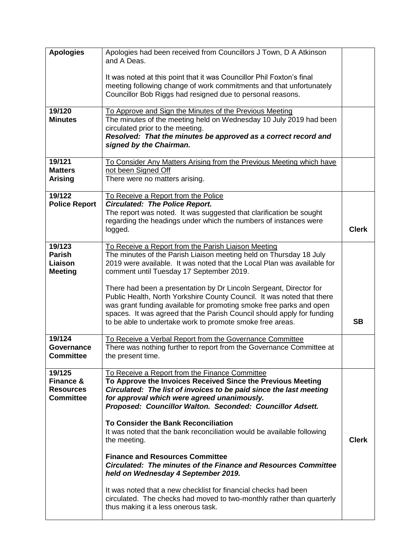| <b>Apologies</b>                                                       | Apologies had been received from Councillors J Town, D A Atkinson<br>and A Deas.<br>It was noted at this point that it was Councillor Phil Foxton's final<br>meeting following change of work commitments and that unfortunately<br>Councillor Bob Riggs had resigned due to personal reasons.                                                                                                                                                                                                                                                                                                                                                                                                                                                                                |              |
|------------------------------------------------------------------------|-------------------------------------------------------------------------------------------------------------------------------------------------------------------------------------------------------------------------------------------------------------------------------------------------------------------------------------------------------------------------------------------------------------------------------------------------------------------------------------------------------------------------------------------------------------------------------------------------------------------------------------------------------------------------------------------------------------------------------------------------------------------------------|--------------|
| 19/120<br><b>Minutes</b>                                               | To Approve and Sign the Minutes of the Previous Meeting<br>The minutes of the meeting held on Wednesday 10 July 2019 had been<br>circulated prior to the meeting.<br>Resolved: That the minutes be approved as a correct record and<br>signed by the Chairman.                                                                                                                                                                                                                                                                                                                                                                                                                                                                                                                |              |
| 19/121<br><b>Matters</b><br><b>Arising</b>                             | To Consider Any Matters Arising from the Previous Meeting which have<br>not been Signed Off<br>There were no matters arising.                                                                                                                                                                                                                                                                                                                                                                                                                                                                                                                                                                                                                                                 |              |
| 19/122<br><b>Police Report</b>                                         | To Receive a Report from the Police<br><b>Circulated: The Police Report.</b><br>The report was noted. It was suggested that clarification be sought<br>regarding the headings under which the numbers of instances were<br>logged.                                                                                                                                                                                                                                                                                                                                                                                                                                                                                                                                            | <b>Clerk</b> |
| 19/123<br><b>Parish</b><br>Liaison<br><b>Meeting</b>                   | To Receive a Report from the Parish Liaison Meeting<br>The minutes of the Parish Liaison meeting held on Thursday 18 July<br>2019 were available. It was noted that the Local Plan was available for<br>comment until Tuesday 17 September 2019.<br>There had been a presentation by Dr Lincoln Sergeant, Director for<br>Public Health, North Yorkshire County Council. It was noted that there<br>was grant funding available for promoting smoke free parks and open<br>spaces. It was agreed that the Parish Council should apply for funding<br>to be able to undertake work to promote smoke free areas.                                                                                                                                                                | <b>SB</b>    |
| 19/124<br>Governance<br><b>Committee</b>                               | To Receive a Verbal Report from the Governance Committee<br>There was nothing further to report from the Governance Committee at<br>the present time.                                                                                                                                                                                                                                                                                                                                                                                                                                                                                                                                                                                                                         |              |
| 19/125<br><b>Finance &amp;</b><br><b>Resources</b><br><b>Committee</b> | To Receive a Report from the Finance Committee<br>To Approve the Invoices Received Since the Previous Meeting<br>Circulated: The list of invoices to be paid since the last meeting<br>for approval which were agreed unanimously.<br>Proposed: Councillor Walton. Seconded: Councillor Adsett.<br><b>To Consider the Bank Reconciliation</b><br>It was noted that the bank reconciliation would be available following<br>the meeting.<br><b>Finance and Resources Committee</b><br>Circulated: The minutes of the Finance and Resources Committee<br>held on Wednesday 4 September 2019.<br>It was noted that a new checklist for financial checks had been<br>circulated. The checks had moved to two-monthly rather than quarterly<br>thus making it a less onerous task. | <b>Clerk</b> |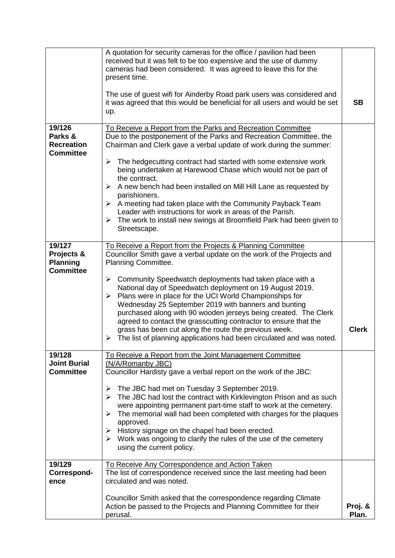|                                                             | A quotation for security cameras for the office / pavilion had been<br>received but it was felt to be too expensive and the use of dummy<br>cameras had been considered. It was agreed to leave this for the<br>present time.<br>The use of guest wifi for Ainderby Road park users was considered and<br>it was agreed that this would be beneficial for all users and would be set<br>up.                                                                                                                                                                                                                                                                                                                                 | <b>SB</b>        |
|-------------------------------------------------------------|-----------------------------------------------------------------------------------------------------------------------------------------------------------------------------------------------------------------------------------------------------------------------------------------------------------------------------------------------------------------------------------------------------------------------------------------------------------------------------------------------------------------------------------------------------------------------------------------------------------------------------------------------------------------------------------------------------------------------------|------------------|
| 19/126<br>Parks &<br><b>Recreation</b><br><b>Committee</b>  | To Receive a Report from the Parks and Recreation Committee<br>Due to the postponement of the Parks and Recreation Committee, the<br>Chairman and Clerk gave a verbal update of work during the summer:<br>The hedgecutting contract had started with some extensive work<br>➤<br>being undertaken at Harewood Chase which would not be part of<br>the contract.<br>A new bench had been installed on Mill Hill Lane as requested by<br>➤<br>parishioners.<br>A meeting had taken place with the Community Payback Team<br>➤<br>Leader with instructions for work in areas of the Parish.<br>$\triangleright$ The work to install new swings at Broomfield Park had been given to<br>Streetscape.                           |                  |
| 19/127<br>Projects &<br><b>Planning</b><br><b>Committee</b> | To Receive a Report from the Projects & Planning Committee<br>Councillor Smith gave a verbal update on the work of the Projects and<br>Planning Committee.<br>$\triangleright$ Community Speedwatch deployments had taken place with a<br>National day of Speedwatch deployment on 19 August 2019.<br>Plans were in place for the UCI World Championships for<br>$\blacktriangleright$<br>Wednesday 25 September 2019 with banners and bunting<br>purchased along with 90 wooden jerseys being created. The Clerk<br>agreed to contact the grasscutting contractor to ensure that the<br>grass has been cut along the route the previous week.<br>The list of planning applications had been circulated and was noted.<br>➤ | <b>Clerk</b>     |
| 19/128<br><b>Joint Burial</b><br><b>Committee</b>           | To Receive a Report from the Joint Management Committee<br>(N/A/Romanby JBC)<br>Councillor Hardisty gave a verbal report on the work of the JBC:<br>The JBC had met on Tuesday 3 September 2019.<br>➤<br>The JBC had lost the contract with Kirklevington Prison and as such<br>➤<br>were appointing permanent part-time staff to work at the cemetery.<br>The memorial wall had been completed with charges for the plaques<br>➤<br>approved.<br>History signage on the chapel had been erected.<br>➤<br>$\triangleright$ Work was ongoing to clarify the rules of the use of the cemetery<br>using the current policy.                                                                                                    |                  |
| 19/129<br>Correspond-<br>ence                               | To Receive Any Correspondence and Action Taken<br>The list of correspondence received since the last meeting had been<br>circulated and was noted.<br>Councillor Smith asked that the correspondence regarding Climate<br>Action be passed to the Projects and Planning Committee for their<br>perusal.                                                                                                                                                                                                                                                                                                                                                                                                                     | Proj. &<br>Plan. |